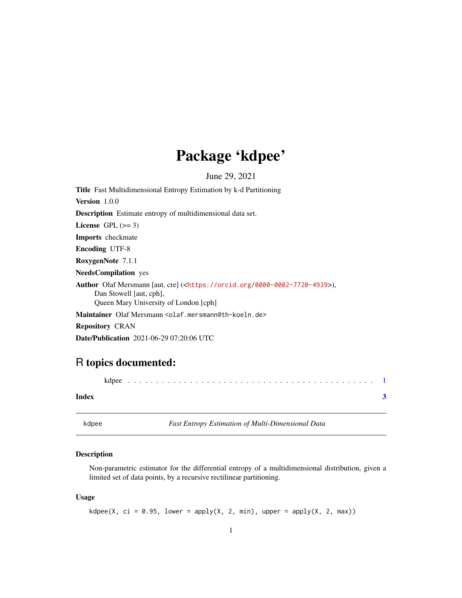## Package 'kdpee'

<span id="page-0-0"></span>June 29, 2021 Title Fast Multidimensional Entropy Estimation by k-d Partitioning Version 1.0.0 Description Estimate entropy of multidimensional data set. License GPL  $(>= 3)$ Imports checkmate Encoding UTF-8 RoxygenNote 7.1.1 NeedsCompilation yes Author Olaf Mersmann [aut, cre] (<<https://orcid.org/0000-0002-7720-4939>>), Dan Stowell [aut, cph], Queen Mary University of London [cph] Maintainer Olaf Mersmann <olaf.mersmann@th-koeln.de> Repository CRAN

Date/Publication 2021-06-29 07:20:06 UTC

### R topics documented:

| Index |  |
|-------|--|

kdpee *Fast Entropy Estimation of Multi-Dimensional Data*

#### Description

Non-parametric estimator for the differential entropy of a multidimensional distribution, given a limited set of data points, by a recursive rectilinear partitioning.

#### Usage

kdpee(X, ci = 0.95, lower = apply(X, 2, min), upper = apply(X, 2, max))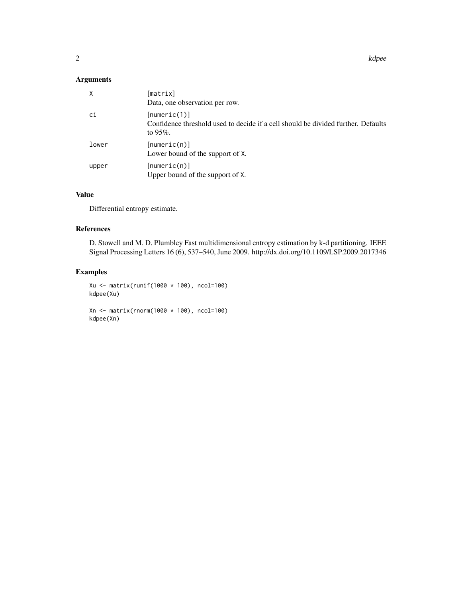$2<sup>2</sup>$ 

#### Arguments

| $\times$ | [matrix]<br>Data, one observation per row.                                                                       |
|----------|------------------------------------------------------------------------------------------------------------------|
| ci       | [numeric(1)]<br>Confidence threshold used to decide if a cell should be divided further. Defaults<br>to $95\%$ . |
| lower    | [numeric(n)]<br>Lower bound of the support of X.                                                                 |
| upper    | [numeric(n)]<br>Upper bound of the support of X.                                                                 |

#### Value

Differential entropy estimate.

#### References

D. Stowell and M. D. Plumbley Fast multidimensional entropy estimation by k-d partitioning. IEEE Signal Processing Letters 16 (6), 537–540, June 2009. http://dx.doi.org/10.1109/LSP.2009.2017346

#### Examples

```
Xu <- matrix(runif(1000 * 100), ncol=100)
kdpee(Xu)
```
Xn <- matrix(rnorm(1000 \* 100), ncol=100) kdpee(Xn)